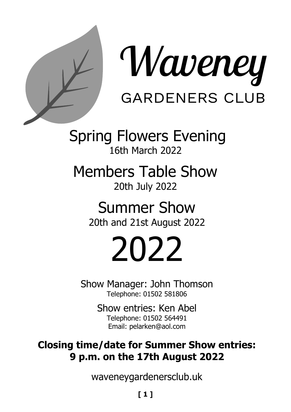



Spring Flowers Evening 16th March 2022

Members Table Show 20th July 2022

> Summer Show 20th and 21st August 2022

# 2022

Show Manager: John Thomson Telephone: 01502 581806

> Show entries: Ken Abel Telephone: 01502 564491 Email: pelarken@aol.com

## **Closing time/date for Summer Show entries: 9 p.m. on the 17th August 2022**

waveneygardenersclub.uk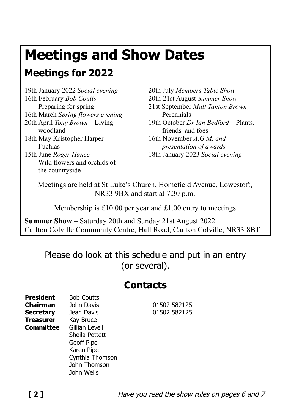# **Meetings and Show Dates**

# **Meetings for 2022**

19th January 2022 *Social evening* 16th February *Bob Coutts* – Preparing for spring 16th March *Spring flowers evening* 20th April *Tony Brown* – Living woodland 18th May Kristopher Harper – Fuchias 15th June *Roger Hance* – Wild flowers and orchids of the countryside

20th July *Members Table Show* 20th-21st August *Summer Show* 21st September *Matt Tanton Brown* – Perennials 19th October *Dr Ian Bedford* – Plants, friends and foes 16th November *A.G.M. and presentation of awards* 18th January 2023 *Social evening*

Meetings are held at St Luke's Church, Homefield Avenue, Lowestoft, NR33 9BX and start at 7.30 p.m.

Membership is £10.00 per year and £1.00 entry to meetings

**Summer Show** – Saturday 20th and Sunday 21st August 2022 Carlton Colville Community Centre, Hall Road, Carlton Colville, NR33 8BT

Please do look at this schedule and put in an entry (or several).

# **Contacts**

**President** Bob Coutts **Chairman** John Davis 01502 582125 **Secretary** Jean Davis 01502 582125 **Treasurer** Kay Bruce **Committee** Gillian Levell Sheila Pettett Geoff Pipe Karen Pipe Cynthia Thomson John Thomson John Wells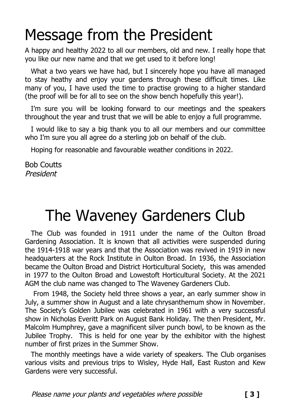# Message from the President

A happy and healthy 2022 to all our members, old and new. I really hope that you like our new name and that we get used to it before long!

What a two years we have had, but I sincerely hope you have all managed to stay heathy and enjoy your gardens through these difficult times. Like many of you, I have used the time to practise growing to a higher standard (the proof will be for all to see on the show bench hopefully this year!).

I'm sure you will be looking forward to our meetings and the speakers throughout the year and trust that we will be able to enjoy a full programme.

I would like to say a big thank you to all our members and our committee who I'm sure you all agree do a sterling job on behalf of the club.

Hoping for reasonable and favourable weather conditions in 2022.

Bob Coutts President

# The Waveney Gardeners Club

The Club was founded in 1911 under the name of the Oulton Broad Gardening Association. It is known that all activities were suspended during the 1914-1918 war years and that the Association was revived in 1919 in new headquarters at the Rock Institute in Oulton Broad. In 1936, the Association became the Oulton Broad and District Horticultural Society, this was amended in 1977 to the Oulton Broad and Lowestoft Horticultural Society. At the 2021 AGM the club name was changed to The Waveney Gardeners Club.

 From 1948, the Society held three shows a year, an early summer show in July, a summer show in August and a late chrysanthemum show in November. The Society's Golden Jubilee was celebrated in 1961 with a very successful show in Nicholas Everitt Park on August Bank Holiday. The then President, Mr. Malcolm Humphrey, gave a magnificent silver punch bowl, to be known as the Jubilee Trophy. This is held for one year by the exhibitor with the highest number of first prizes in the Summer Show.

The monthly meetings have a wide variety of speakers. The Club organises various visits and previous trips to Wisley, Hyde Hall, East Ruston and Kew Gardens were very successful.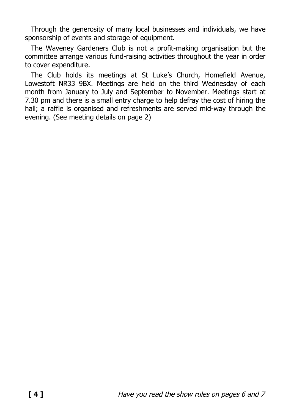Through the generosity of many local businesses and individuals, we have sponsorship of events and storage of equipment.

The Waveney Gardeners Club is not a profit-making organisation but the committee arrange various fund-raising activities throughout the year in order to cover expenditure.

The Club holds its meetings at St Luke's Church, Homefield Avenue, Lowestoft NR33 9BX. Meetings are held on the third Wednesday of each month from January to July and September to November. Meetings start at 7.30 pm and there is a small entry charge to help defray the cost of hiring the hall; a raffle is organised and refreshments are served mid-way through the evening. (See meeting details on page 2)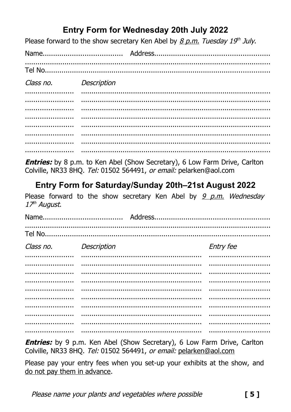## Entry Form for Wednesday 20th July 2022

Please forward to the show secretary Ken Abel by  $8 p.m.$  Tuesday  $19<sup>th</sup>$  July.

Tel No...................... Class no Description ......................

**Entries:** by 8 p.m. to Ken Abel (Show Secretary), 6 Low Farm Drive, Carlton Colville, NR33 8HO, Tel: 01502 564491, or email: pelarken@aol.com

## Entry Form for Saturday/Sunday 20th-21st August 2022

Please forward to the show secretary Ken Abel by 9 p.m. Wednesday 17<sup>th</sup> August.

Tel No <u>.................................</u>... Class no. Entry fee Description . . . . . . . . . . . . . . . . . . . 

Entries: by 9 p.m. Ken Abel (Show Secretary), 6 Low Farm Drive, Carlton Colville, NR33 8HQ. Tel: 01502 564491, or email: pelarken@aol.com

Please pay your entry fees when you set-up your exhibits at the show, and do not pay them in advance.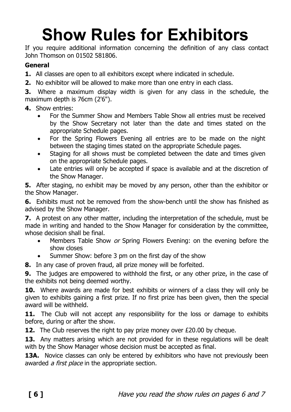# **Show Rules for Exhibitors**

If you require additional information concerning the definition of any class contact John Thomson on 01502 581806.

#### **General**

- **1.**  All classes are open to all exhibitors except where indicated in schedule.
- **2.** No exhibitor will be allowed to make more than one entry in each class.

**3.** Where a maximum display width is given for any class in the schedule, the maximum depth is 76cm (2'6").

- **4.**  Show entries:
	- For the Summer Show and Members Table Show all entries must be received by the Show Secretary not later than the date and times stated on the appropriate Schedule pages.
	- For the Spring Flowers Evening all entries are to be made on the night between the staging times stated on the appropriate Schedule pages.
	- Staging for all shows must be completed between the date and times given on the appropriate Schedule pages.
	- Late entries will only be accepted if space is available and at the discretion of the Show Manager.

**5.** After staging, no exhibit may be moved by any person, other than the exhibitor or the Show Manager.

**6.** Exhibits must not be removed from the show-bench until the show has finished as advised by the Show Manager.

**7.**  A protest on any other matter, including the interpretation of the schedule, must be made in writing and handed to the Show Manager for consideration by the committee, whose decision shall be final.

- Members Table Show or Spring Flowers Evening: on the evening before the show closes
	- Summer Show: before 3 pm on the first day of the show

**8.**  In any case of proven fraud, all prize money will be forfeited.

**9.** The judges are empowered to withhold the first, or any other prize, in the case of the exhibits not being deemed worthy.

**10.**  Where awards are made for best exhibits or winners of a class they will only be given to exhibits gaining a first prize. If no first prize has been given, then the special award will be withheld.

**11.**  The Club will not accept any responsibility for the loss or damage to exhibits before, during or after the show.

**12.** The Club reserves the right to pay prize money over £20.00 by cheque.

13. Any matters arising which are not provided for in these requlations will be dealt with by the Show Manager whose decision must be accepted as final.

**13A.** Novice classes can only be entered by exhibitors who have not previously been awarded *a first place* in the appropriate section.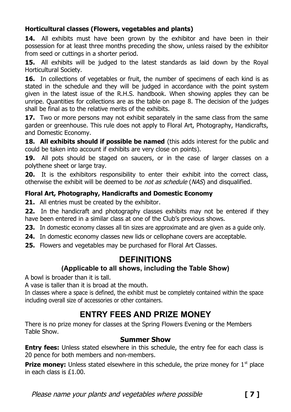#### **Horticultural classes (Flowers, vegetables and plants)**

**14.**  All exhibits must have been grown by the exhibitor and have been in their possession for at least three months preceding the show, unless raised by the exhibitor from seed or cuttings in a shorter period.

**15.**  All exhibits will be judged to the latest standards as laid down by the Royal Horticultural Society.

**16.**  In collections of vegetables or fruit, the number of specimens of each kind is as stated in the schedule and they will be judged in accordance with the point system given in the latest issue of the R.H.S. handbook. When showing apples they can be unripe. Quantities for collections are as the table on page 8. The decision of the judges shall be final as to the relative merits of the exhibits.

**17.**  Two or more persons may not exhibit separately in the same class from the same garden or greenhouse. This rule does not apply to Floral Art, Photography, Handicrafts, and Domestic Economy.

**18. All exhibits should if possible be named** (this adds interest for the public and could be taken into account if exhibits are very close on points).

**19.**  All pots should be staged on saucers, or in the case of larger classes on a polythene sheet or large tray.

**20.** It is the exhibitors responsibility to enter their exhibit into the correct class, otherwise the exhibit will be deemed to be *not as schedule* (NAS) and disqualified.

### **Floral Art, Photography, Handicrafts and Domestic Economy**

21. All entries must be created by the exhibitor.

**22.**  In the handicraft and photography classes exhibits may not be entered if they have been entered in a similar class at one of the Club's previous shows.

**23.** In domestic economy classes all tin sizes are approximate and are given as a guide only.

- **24.**  In domestic economy classes new lids or cellophane covers are acceptable.
- **25.**  Flowers and vegetables may be purchased for Floral Art Classes.

### **DEFINITIONS**

### **(Applicable to all shows, including the Table Show)**

A bowl is broader than it is tall.

A vase is taller than it is broad at the mouth.

In classes where a space is defined, the exhibit must be completely contained within the space including overall size of accessories or other containers.

## **ENTRY FEES AND PRIZE MONEY**

There is no prize money for classes at the Spring Flowers Evening or the Members Table Show.

### **Summer Show**

**Entry fees:** Unless stated elsewhere in this schedule, the entry fee for each class is 20 pence for both members and non-members.

**Prize money:** Unless stated elsewhere in this schedule, the prize money for  $1<sup>st</sup>$  place in each class is £1.00.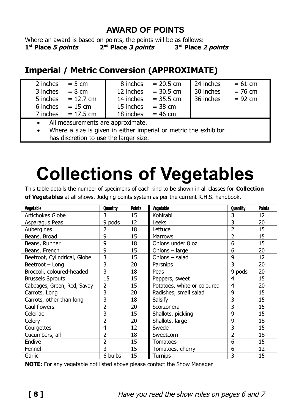### **AWARD OF POINTS**

Where an award is based on points, the points will be as follows: **1 st Place 5 points 2 nd Place 3 points 3 rd Place 2 points**

## **Imperial / Metric Conversion (APPROXIMATE)**

| 2 inches                                                         | $= 5$ cm           | 8 inches  | $= 20.5$ cm | 24 inches | $= 61$ cm |
|------------------------------------------------------------------|--------------------|-----------|-------------|-----------|-----------|
| 3 inches                                                         | $= 8 \, \text{cm}$ | 12 inches | $= 30.5$ cm | 30 inches | $= 76$ cm |
| 5 inches                                                         | $= 12.7$ cm        | 14 inches | $= 35.5$ cm | 36 inches | $= 92$ cm |
| 6 inches                                                         | $= 15$ cm          | 15 inches | $= 38$ cm   |           |           |
| 7 inches                                                         | $= 17.5$ cm        | 18 inches | $= 46$ cm   |           |           |
| All measurements are approximate.<br>$\bullet$                   |                    |           |             |           |           |
| Where a size is given in either imperial or metric the exhibitor |                    |           |             |           |           |

is given in either imperial or metric the exhibitor has discretion to use the larger size.

# **Collections of Vegetables**

This table details the number of specimens of each kind to be shown in all classes for **Collection of Vegetables** at all shows. Judging points system as per the current R.H.S. handbook.

| Vegetable                    | Quantity       | <b>Points</b> | Vegetable                   | Quantity       | <b>Points</b> |
|------------------------------|----------------|---------------|-----------------------------|----------------|---------------|
| Artichokes Globe             | 3              | 15            | Kohlrabi                    | 3              | 12            |
| Asparagus Peas               | 9 pods         | 12            | Leeks                       | 3              | 20            |
| Aubergines                   | 2              | 18            | Lettuce                     | 2              | 15            |
| Beans, Broad                 | 9              | 15            | Marrows                     | $\overline{2}$ | 15            |
| Beans, Runner                | 9              | 18            | Onions under 8 oz           | 6              | 15            |
| Beans, French                | 9              | 15            | Onions - large              | 6              | 20            |
| Beetroot, Cylindrical, Globe | 3              | 15            | Onions - salad              | 9              | 12            |
| Beetroot - Long              | 3              | 20            | Parsnips                    | 3              | 20            |
| Broccoli, coloured-headed    | 3              | 18            | Peas                        | 9 pods         | 20            |
| <b>Brussels Sprouts</b>      | 15             | 15            | Peppers, sweet              | 4              | 15            |
| Cabbages, Green, Red, Savoy  | 2              | 15            | Potatoes, white or coloured | 4              | 20            |
| Carrots, Long                | 3              | 20            | Radishes, small salad       | 9              | 15            |
| Carrots, other than long     | 3              | 18            | Salsify                     | 3              | 15            |
| Cauliflowers                 | $\overline{2}$ | 20            | Scorzonera                  | 3              | 15            |
| Celeriac                     | 3              | 15            | Shallots, pickling          | 9              | 15            |
| Celery                       | 2              | 20            | Shallots, large             | 9              | 18            |
| Courgettes                   | 4              | 12            | Swede                       | 3              | 15            |
| Cucumbers, all               | $\overline{2}$ | 18            | Sweetcorn                   | 2              | 18            |
| Endive                       | $\overline{2}$ | 15            | Tomatoes                    | 6              | 15            |
| Fennel                       | 3              | 15            | Tomatoes, cherry            | 6              | 12            |
| Garlic                       | 6 bulbs        | 15            | Turnips                     | 3              | 15            |

**NOTE:** For any vegetable not listed above please contact the Show Manager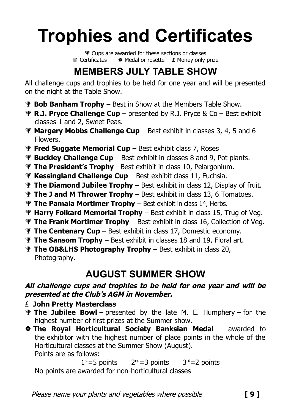# **Trophies and Certificates**

**P** Cups are awarded for these sections or classes Certificates Medal or rosette **£** Money only prize

# **MEMBERS JULY TABLE SHOW**

All challenge cups and trophies to be held for one year and will be presented on the night at the Table Show.

- **P Bob Banham Trophy** Best in Show at the Members Table Show.
- **R.J. Pryce Challenge Cup** presented by R.J. Pryce & Co Best exhibit classes 1 and 2, Sweet Peas.
- **Margery Mobbs Challenge Cup** Best exhibit in classes 3, 4, 5 and 6 Flowers.
- **Fred Suggate Memorial Cup** Best exhibit class 7, Roses
- **Buckley Challenge Cup** Best exhibit in classes 8 and 9, Pot plants.
- **The President's Trophy**  Best exhibit in class 10, Pelargonium.
- **Kessingland Challenge Cup** Best exhibit class 11, Fuchsia.
- **The Diamond Jubilee Trophy** Best exhibit in class 12, Display of fruit.
- **The J and M Thrower Trophy** Best exhibit in class 13, 6 Tomatoes.
- **The Pamala Mortimer Trophy** Best exhibit in class 14, Herbs.
- **Harry Folkard Memorial Trophy** Best exhibit in class 15, Trug of Veg.
- **The Frank Mortimer Trophy** Best exhibit in class 16, Collection of Veg.
- **The Centenary Cup** Best exhibit in class 17, Domestic economy.
- **The Sansom Trophy** Best exhibit in classes 18 and 19, Floral art.
- **The OB&LHS Photography Trophy** Best exhibit in class 20, Photography.

# **AUGUST SUMMER SHOW**

### **All challenge cups and trophies to be held for one year and will be presented at the Club's AGM in November.**

- £ **John Pretty Masterclass**
- **The Jubilee Bowl** presented by the late M. E. Humphery for the highest number of first prizes at the Summer show.
- **The Royal Horticultural Society Banksian Medal** awarded to the exhibitor with the highest number of place points in the whole of the Horticultural classes at the Summer Show (August). Points are as follows:

 $1<sup>st</sup>=5$  points  $2<sup>nd</sup>=3$  points  $3<sup>rd</sup>=2$  points No points are awarded for non-horticultural classes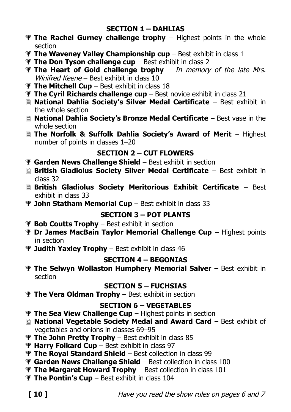#### **SECTION 1 – DAHLIAS**

- **The Rachel Gurney challenge trophy** Highest points in the whole section
- **The Waveney Valley Championship cup** Best exhibit in class 1
- **The Don Tyson challenge cup** Best exhibit in class 2
- **The Heart of Gold challenge trophy** In memory of the late Mrs. Winifred Keene – Best exhibit in class 10
- **The Mitchell Cup** Best exhibit in class 18
- **The Cyril Richards challenge cup** Best novice exhibit in class 21
- **National Dahlia Society's Silver Medal Certificate** Best exhibit in the whole section
- **National Dahlia Society's Bronze Medal Certificate** Best vase in the whole section
- **The Norfolk & Suffolk Dahlia Society's Award of Merit**  Highest number of points in classes 1–20

### **SECTION 2 – CUT FLOWERS**

- **Garden News Challenge Shield** Best exhibit in section
- **British Gladiolus Society Silver Medal Certificate** Best exhibit in class 32
- **British Gladiolus Society Meritorious Exhibit Certificate** Best exhibit in class 33
- **John Statham Memorial Cup** Best exhibit in class 33

### **SECTION 3 – POT PLANTS**

- **Bob Coutts Trophy** Best exhibit in section
- **Dr James MacBain Taylor Memorial Challenge Cup** Highest points in section
- **Judith Yaxley Trophy** Best exhibit in class 46

### **SECTION 4 – BEGONIAS**

**The Selwyn Wollaston Humphery Memorial Salver** – Best exhibit in section

### **SECTION 5 – FUCHSIAS**

**The Vera Oldman Trophy** – Best exhibit in section

### **SECTION 6 – VEGETABLES**

- **The Sea View Challenge Cup** Highest points in section
- **National Vegetable Society Medal and Award Card** Best exhibit of vegetables and onions in classes 69–95
- **The John Pretty Trophy** Best exhibit in class 85
- **Harry Folkard Cup** Best exhibit in class 97
- **The Royal Standard Shield** Best collection in class 99
- **Garden News Challenge Shield** Best collection in class 100
- **The Margaret Howard Trophy** Best collection in class 101
- **The Pontin's Cup** Best exhibit in class 104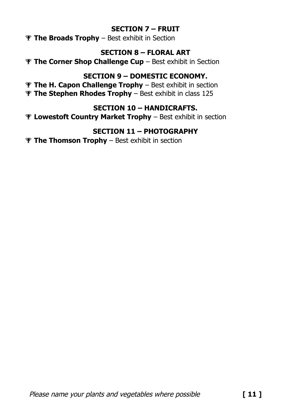### **SECTION 7 – FRUIT**

**The Broads Trophy** – Best exhibit in Section

### **SECTION 8 – FLORAL ART**

**The Corner Shop Challenge Cup** – Best exhibit in Section

### **SECTION 9 – DOMESTIC ECONOMY.**

 **The H. Capon Challenge Trophy** – Best exhibit in section **The Stephen Rhodes Trophy** – Best exhibit in class 125

### **SECTION 10 – HANDICRAFTS.**

**Lowestoft Country Market Trophy** – Best exhibit in section

### **SECTION 11 – PHOTOGRAPHY**

**The Thomson Trophy** – Best exhibit in section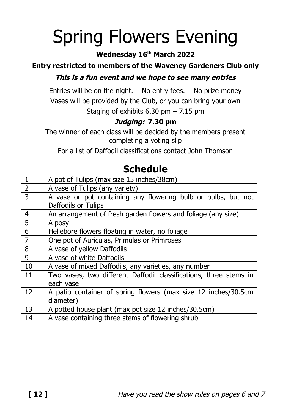# Spring Flowers Evening

### **Wednesday 16 th March 2022**

## **Entry restricted to members of the Waveney Gardeners Club only**

### **This is a fun event and we hope to see many entries**

Entries will be on the night. No entry fees. No prize money Vases will be provided by the Club, or you can bring your own Staging of exhibits  $6.30$  pm  $- 7.15$  pm

### **Judging: 7.30 pm**

The winner of each class will be decided by the members present completing a voting slip

For a list of Daffodil classifications contact John Thomson

|                | A pot of Tulips (max size 15 inches/38cm)                         |
|----------------|-------------------------------------------------------------------|
| $\overline{2}$ | A vase of Tulips (any variety)                                    |
| 3              | A vase or pot containing any flowering bulb or bulbs, but not     |
|                | Daffodils or Tulips                                               |
| 4              | An arrangement of fresh garden flowers and foliage (any size)     |
| 5              | A posy                                                            |
| 6              | Hellebore flowers floating in water, no foliage                   |
| $\overline{7}$ | One pot of Auriculas, Primulas or Primroses                       |
| 8              | A vase of yellow Daffodils                                        |
| 9              | A vase of white Daffodils                                         |
| 10             | A vase of mixed Daffodils, any varieties, any number              |
| 11             | Two vases, two different Daffodil classifications, three stems in |
|                | each vase                                                         |
| 12             | A patio container of spring flowers (max size 12 inches/30.5cm    |
|                | diameter)                                                         |
| 13             | A potted house plant (max pot size 12 inches/30.5cm)              |
| 14             | A vase containing three stems of flowering shrub                  |

## **Schedule**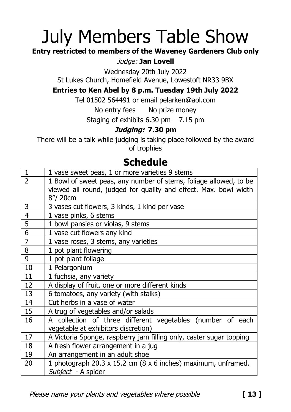# July Members Table Show

### **Entry restricted to members of the Waveney Gardeners Club only**

### Judge: **Jan Lovell**

Wednesday 20th July 2022

St Lukes Church, Homefield Avenue, Lowestoft NR33 9BX

### **Entries to Ken Abel by 8 p.m. Tuesday 19th July 2022**

Tel 01502 564491 or email pelarken@aol.com

No entry fees No prize money

Staging of exhibits 6.30 pm – 7.15 pm

### **Judging: 7.30 pm**

There will be a talk while judging is taking place followed by the award of trophies

## **Schedule**

| $\mathbf{1}$   | 1 vase sweet peas, 1 or more varieties 9 stems                      |
|----------------|---------------------------------------------------------------------|
| $\overline{2}$ | 1 Bowl of sweet peas, any number of stems, foliage allowed, to be   |
|                | viewed all round, judged for quality and effect. Max. bowl width    |
|                | 8"/ 20cm                                                            |
| 3              | 3 vases cut flowers, 3 kinds, 1 kind per vase                       |
| 4              | 1 vase pinks, 6 stems                                               |
| 5              | 1 bowl pansies or violas, 9 stems                                   |
| $\overline{6}$ | 1 vase cut flowers any kind                                         |
| $\overline{7}$ | 1 vase roses, 3 stems, any varieties                                |
| 8              | 1 pot plant flowering                                               |
| 9              | 1 pot plant foliage                                                 |
| 10             | 1 Pelargonium                                                       |
| 11             | 1 fuchsia, any variety                                              |
| 12             | A display of fruit, one or more different kinds                     |
| 13             | 6 tomatoes, any variety (with stalks)                               |
| 14             | Cut herbs in a vase of water                                        |
| 15             | A trug of vegetables and/or salads                                  |
| 16             | A collection of three different vegetables (number of each          |
|                | vegetable at exhibitors discretion)                                 |
| 17             | A Victoria Sponge, raspberry jam filling only, caster sugar topping |
| 18             | A fresh flower arrangement in a jug                                 |
| 19             | An arrangement in an adult shoe                                     |
| 20             | 1 photograph 20.3 x 15.2 cm (8 x 6 inches) maximum, unframed.       |
|                | Subject - A spider                                                  |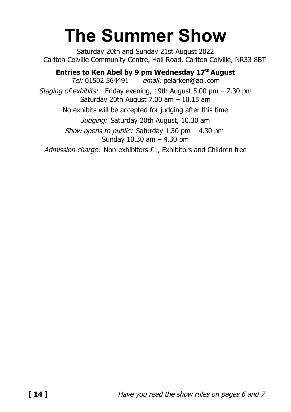# **The Summer Show**

Saturday 20th and Sunday 21st August 2022 Carlton Colville Community Centre, Hall Road, Carlton Colville, NR33 8BT

**Entries to Ken Abel by 9 pm Wednesday 17 thAugust** Tel: 01502 564491 email: pelarken@aol.com Staging of exhibits: Friday evening, 19th August 5.00 pm  $- 7.30$  pm Saturday 20th August 7.00 am – 10.15 am No exhibits will be accepted for judging after this time Judging: Saturday 20th August, 10.30 am Show opens to public: Saturday  $1.30$  pm  $- 4.30$  pm Sunday 10.30 am – 4.30 pm Admission charge: Non-exhibitors £1, Exhibitors and Children free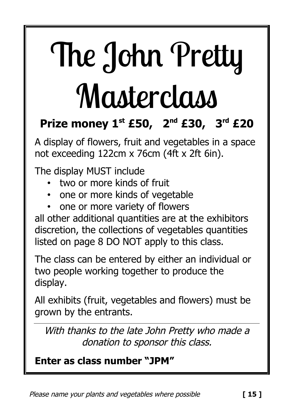# The John Pretty **Masterclass**

# **Prize money 1st £50, 2 nd £30, 3 rd £20**

A display of flowers, fruit and vegetables in a space not exceeding 122cm x 76cm (4ft x 2ft 6in).

The display MUST include

- two or more kinds of fruit
- one or more kinds of vegetable
- one or more variety of flowers

all other additional quantities are at the exhibitors discretion, the collections of vegetables quantities listed on page 8 DO NOT apply to this class.

The class can be entered by either an individual or two people working together to produce the display.

All exhibits (fruit, vegetables and flowers) must be grown by the entrants.

With thanks to the late John Pretty who made a donation to sponsor this class.

# **Enter as class number "JPM"**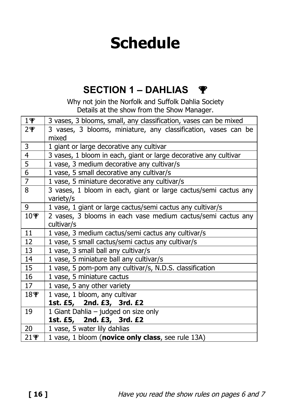# **Schedule**

# **SECTION 1 – DAHLIAS**

Why not join the Norfolk and Suffolk Dahlia Society Details at the show from the Show Manager.

| $1\Psi$         | 3 vases, 3 blooms, small, any classification, vases can be mixed             |
|-----------------|------------------------------------------------------------------------------|
| $2\Psi$         | 3 vases, 3 blooms, miniature, any classification, vases can be<br>mixed      |
| 3               | 1 giant or large decorative any cultivar                                     |
| 4               | 3 vases, 1 bloom in each, giant or large decorative any cultivar             |
| 5               | 1 vase, 3 medium decorative any cultivar/s                                   |
| 6               | 1 vase, 5 small decorative any cultivar/s                                    |
| $\overline{7}$  | 1 vase, 5 miniature decorative any cultivar/s                                |
| 8               | 3 vases, 1 bloom in each, giant or large cactus/semi cactus any<br>variety/s |
| 9               | 1 vase, 1 giant or large cactus/semi cactus any cultivar/s                   |
| $10\Psi$        | 2 vases, 3 blooms in each vase medium cactus/semi cactus any<br>cultivar/s   |
| 11              | 1 vase, 3 medium cactus/semi cactus any cultivar/s                           |
| 12              | 1 vase, 5 small cactus/semi cactus any cultivar/s                            |
| 13              | 1 vase, 3 small ball any cultivar/s                                          |
| 14              | 1 vase, 5 miniature ball any cultivar/s                                      |
| 15              | 1 vase, 5 pom-pom any cultivar/s, N.D.S. classification                      |
| 16              | 1 vase, 5 miniature cactus                                                   |
| 17              | 1 vase, 5 any other variety                                                  |
| 18 <sub>¥</sub> | 1 vase, 1 bloom, any cultivar                                                |
|                 | 1st. £5, 2nd. £3, 3rd. £2                                                    |
| 19              | 1 Giant Dahlia - judged on size only                                         |
|                 | 1st. £5, 2nd. £3, 3rd. £2                                                    |
| 20              | 1 vase, 5 water lily dahlias                                                 |
| $21$ $\Psi$     | 1 vase, 1 bloom (novice only class, see rule 13A)                            |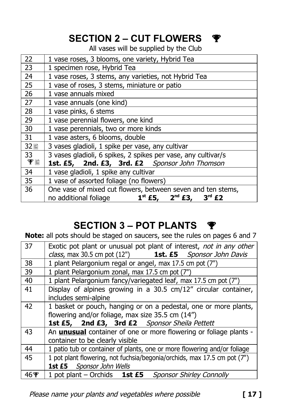# **SECTION 2 – CUT FLOWERS**

All vases will be supplied by the Club

| 22     | 1 vase roses, 3 blooms, one variety, Hybrid Tea                |
|--------|----------------------------------------------------------------|
| 23     | 1 specimen rose, Hybrid Tea                                    |
| 24     | 1 vase roses, 3 stems, any varieties, not Hybrid Tea           |
| 25     | 1 vase of roses, 3 stems, miniature or patio                   |
| 26     | 1 vase annuals mixed                                           |
| 27     | 1 vase annuals (one kind)                                      |
| 28     | 1 vase pinks, 6 stems                                          |
| 29     | 1 vase perennial flowers, one kind                             |
| 30     | 1 vase perennials, two or more kinds                           |
| 31     | 1 vase asters, 6 blooms, double                                |
| 32目    | 3 vases gladioli, 1 spike per vase, any cultivar               |
| 33     | 3 vases gladioli, 6 spikes, 2 spikes per vase, any cultivar/s  |
| $\Psi$ | 1st. £5, 2nd. £3, 3rd. £2 Sponsor John Thomson                 |
| 34     | 1 vase gladioli, 1 spike any cultivar                          |
| 35     | 1 vase of assorted foliage (no flowers)                        |
| 36     | One vase of mixed cut flowers, between seven and ten stems,    |
|        | $1^{st}$ £5, $2^{nd}$ £3,<br>$3rd$ £2<br>no additional foliage |

# **SECTION 3 – POT PLANTS**

**Note:** all pots should be staged on saucers, see the rules on pages 6 and 7

| 37   | Exotic pot plant or unusual pot plant of interest, not in any other      |
|------|--------------------------------------------------------------------------|
|      | class, max 30.5 cm pot (12") <b>1st. £5</b> Sponsor John Davis           |
| 38   | 1 plant Pelargonium regal or angel, max 17.5 cm pot (7")                 |
| 39   | 1 plant Pelargonium zonal, max 17.5 cm pot (7")                          |
| 40   | 1 plant Pelargonium fancy/variegated leaf, max 17.5 cm pot (7")          |
| 41   | Display of alpines growing in a 30.5 cm/12" circular container,          |
|      | includes semi-alpine                                                     |
| 42   | 1 basket or pouch, hanging or on a pedestal, one or more plants,         |
|      | flowering and/or foliage, max size 35.5 cm (14")                         |
|      | 1st £5, 2nd £3, 3rd £2 Sponsor Sheila Pettett                            |
| 43   | An <b>unusual</b> container of one or more flowering or foliage plants - |
|      | container to be clearly visible                                          |
| 44   | 1 patio tub or container of plants, one or more flowering and/or foliage |
| 45   | 1 pot plant flowering, not fuchsia/begonia/orchids, max 17.5 cm pot (7") |
|      | 1st £5 Sponsor John Wells                                                |
| 46 P | 1 pot plant – Orchids 1st £5 Sponsor Shirley Connolly                    |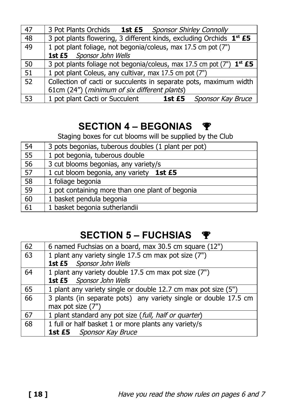| 47 | 3 Pot Plants Orchids 1st £5 Sponsor Shirley Connolly                             |
|----|----------------------------------------------------------------------------------|
| 48 | 3 pot plants flowering, 3 different kinds, excluding Orchids 1 <sup>st</sup> £5  |
| 49 | 1 pot plant foliage, not begonia/coleus, max 17.5 cm pot (7")                    |
|    | 1st £5 Sponsor John Wells                                                        |
| 50 | 3 pot plants foliage not begonia/coleus, max 17.5 cm pot (7") 1 <sup>st</sup> £5 |
| 51 | 1 pot plant Coleus, any cultivar, max 17.5 cm pot (7")                           |
| 52 | Collection of cacti or succulents in separate pots, maximum width                |
|    | 61cm (24") (minimum of six different plants)                                     |
| 53 | 1 pot plant Cacti or Succulent 1st £5<br>Sponsor Kay Bruce                       |

# **SECTION 4 – BEGONIAS**

Staging boxes for cut blooms will be supplied by the Club

| 54              | 3 pots begonias, tuberous doubles (1 plant per pot) |
|-----------------|-----------------------------------------------------|
| $\overline{55}$ | 1 pot begonia, tuberous double                      |
| 56              | 3 cut blooms begonias, any variety/s                |
| $\overline{57}$ | 1 cut bloom begonia, any variety 1st £5             |
| 58              | 1 foliage begonia                                   |
| $\overline{59}$ | 1 pot containing more than one plant of begonia     |
| 60              | 1 basket pendula begonia                            |
| 61              | 1 basket begonia sutherlandii                       |

# **SECTION 5 – FUCHSIAS**

| 62 | 6 named Fuchsias on a board, max 30.5 cm square (12")            |
|----|------------------------------------------------------------------|
| 63 | 1 plant any variety single 17.5 cm max pot size (7")             |
|    | 1st £5 Sponsor John Wells                                        |
| 64 | 1 plant any variety double 17.5 cm max pot size (7")             |
|    | 1st £5 Sponsor John Wells                                        |
| 65 | 1 plant any variety single or double 12.7 cm max pot size (5")   |
| 66 | 3 plants (in separate pots) any variety single or double 17.5 cm |
|    | max pot size (7")                                                |
| 67 | 1 plant standard any pot size (full, half or quarter)            |
| 68 | 1 full or half basket 1 or more plants any variety/s             |
|    | <b>1st £5</b> Sponsor Kay Bruce                                  |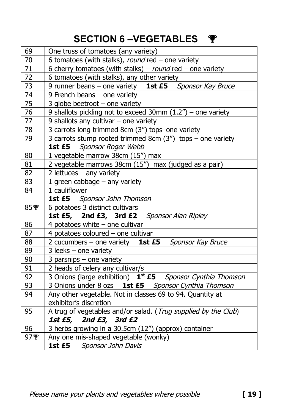# **SECTION 6 –VEGETABLES**

| 69  | One truss of tomatoes (any variety)                                    |
|-----|------------------------------------------------------------------------|
| 70  | 6 tomatoes (with stalks), round red - one variety                      |
| 71  | 6 cherry tomatoes (with stalks) - round red - one variety              |
| 72  | 6 tomatoes (with stalks), any other variety                            |
| 73  | 9 runner beans - one variety 1st £5 Sponsor Kay Bruce                  |
| 74  | 9 French beans - one variety                                           |
| 75  | 3 globe beetroot $-$ one variety                                       |
| 76  | 9 shallots pickling not to exceed 30mm $(1.2n)$ – one variety          |
| 77  | 9 shallots any cultivar $-$ one variety                                |
| 78  | 3 carrots long trimmed 8cm (3") tops-one variety                       |
| 79  | 3 carrots stump rooted trimmed 8cm $(3'')$ tops - one variety          |
|     | 1st £5 Sponsor Roger Webb                                              |
| 80  | 1 vegetable marrow 38cm (15") max                                      |
| 81  | 2 vegetable marrows 38cm (15") max (judged as a pair)                  |
| 82  | 2 lettuces $-$ any variety                                             |
| 83  | 1 green cabbage - any variety                                          |
| 84  | 1 cauliflower                                                          |
|     | <b>1st £5</b> Sponsor John Thomson                                     |
| 85零 | 6 potatoes 3 distinct cultivars                                        |
|     | 1st £5, 2nd £3, 3rd £2 Sponsor Alan Ripley                             |
| 86  | 4 potatoes white $-$ one cultivar                                      |
| 87  | 4 potatoes coloured - one cultivar                                     |
| 88  | 2 cucumbers - one variety 1st £5 Sponsor Kay Bruce                     |
| 89  | $3$ leeks - one variety                                                |
| 90  | 3 parsnips $-$ one variety                                             |
| 91  | 2 heads of celery any cultivar/s                                       |
| 92  | 3 Onions (large exhibition) 1 <sup>st</sup> £5 Sponsor Cynthia Thomson |
| 93  | 3 Onions under 8 ozs 1st £5 Sponsor Cynthia Thomson                    |
| 94  | Any other vegetable. Not in classes 69 to 94. Quantity at              |
|     | exhibitor's discretion                                                 |
| 95  | A trug of vegetables and/or salad. (Trug supplied by the Club)         |
|     | 1st £5, 2nd £3, 3rd £2                                                 |
| 96  | 3 herbs growing in a 30.5cm (12") (approx) container                   |
| 97零 |                                                                        |
|     | Any one mis-shaped vegetable (wonky)<br>1st £5 Sponsor John Davis      |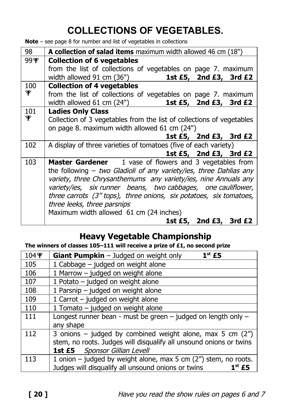# **COLLECTIONS OF VEGETABLES.**

**Note** – see page 8 for number and list of vegetables in collections

| 98   | A collection of salad items maximum width allowed 46 cm (18")         |
|------|-----------------------------------------------------------------------|
| 99¶ଂ | <b>Collection of 6 vegetables</b>                                     |
|      | from the list of collections of vegetables on page 7. maximum         |
|      | width allowed 91 cm (36")<br>1st £5, 2nd £3, 3rd £2                   |
| 100  | <b>Collection of 4 vegetables</b>                                     |
| ∳    | from the list of collections of vegetables on page 7. maximum         |
|      | 1st £5, 2nd £3, 3rd £2<br>width allowed 61 cm (24")                   |
| 101  | <b>Ladies Only Class</b>                                              |
| ∳    | Collection of 3 vegetables from the list of collections of vegetables |
|      | on page 8. maximum width allowed 61 cm (24")                          |
|      | 1st $£5$ , 2nd $£3$ , 3rd $£2$                                        |
| 102  | A display of three varieties of tomatoes (five of each variety)       |
|      | 1st £5, 2nd £3, 3rd £2                                                |
| 103  | <b>Master Gardener</b> 1 vase of flowers and 3 vegetables from        |
|      | the following $-$ two Gladioli of any variety/ies, three Dahlias any  |
|      | variety, three Chrysanthemums any variety/ies, nine Annuals any       |
|      | variety/ies, six runner beans, two cabbages, one cauliflower,         |
|      | three carrots (3" tops), three onions, six potatoes, six tomatoes,    |
|      | three leeks, three parsnips                                           |
|      | Maximum width allowed 61 cm (24 inches)                               |
|      | 1st £5, 2nd £3, 3rd £2                                                |

## **Heavy Vegetable Championship**

**The winners of classes 105–111 will receive a prize of £1, no second prize**

| 104零 | $1st$ £5<br><b>Giant Pumpkin</b> $-$ Judged on weight only                                                                                                               |
|------|--------------------------------------------------------------------------------------------------------------------------------------------------------------------------|
| 105  | 1 Cabbage - judged on weight alone                                                                                                                                       |
| 106  | 1 Marrow - judged on weight alone                                                                                                                                        |
| 107  | 1 Potato - judged on weight alone                                                                                                                                        |
| 108  | 1 Parsnip - judged on weight alone                                                                                                                                       |
| 109  | 1 Carrot - judged on weight alone                                                                                                                                        |
| 110  | 1 Tomato - judged on weight alone                                                                                                                                        |
| 111  | Longest runner bean - must be green $-$ judged on length only $-$<br>any shape                                                                                           |
| 112  | 3 onions – judged by combined weight alone, max 5 cm $(2'')$<br>stem, no roots. Judges will disqualify all unsound onions or twins<br>Sponsor Gillian Levell<br>1st $E5$ |
| 113  | 1 onion - judged by weight alone, max 5 cm (2") stem, no roots.<br>Judges will disqualify all unsound onions or twins<br>$1st$ £5                                        |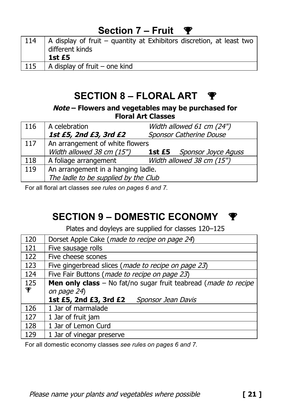# **Section 7 – Fruit**

| 114 | $\vert$ A display of fruit – quantity at Exhibitors discretion, at least two<br>different kinds<br>1st £5 |
|-----|-----------------------------------------------------------------------------------------------------------|
| 115 | A display of fruit – one kind                                                                             |

# **SECTION 8 – FLORAL ART**

**Note – Flowers and vegetables may be purchased for Floral Art Classes**

| 116 | A celebration                        | Width allowed 61 cm (24")         |
|-----|--------------------------------------|-----------------------------------|
|     | 1st £5, 2nd £3, 3rd £2               | Sponsor Catherine Douse           |
| 117 | An arrangement of white flowers      |                                   |
|     | Width allowed 38 cm (15")            | <b>1st £5</b> Sponsor Joyce Aguss |
| 118 | A foliage arrangement                | Width allowed 38 cm (15")         |
| 119 | An arrangement in a hanging ladle.   |                                   |
|     | The ladle to be supplied by the Club |                                   |

For all floral art classes *see rules on pages 6 and 7.*

# **SECTION 9 – DOMESTIC ECONOMY**

Plates and doyleys are supplied for classes 120–125

| 120 | Dorset Apple Cake (made to recipe on page 24)                                  |
|-----|--------------------------------------------------------------------------------|
| 121 | Five sausage rolls                                                             |
| 122 | Five cheese scones                                                             |
| 123 | Five gingerbread slices (made to recipe on page 23)                            |
| 124 | Five Fair Buttons (made to recipe on page 23)                                  |
| 125 | <b>Men only class</b> – No fat/no sugar fruit teabread ( <i>made to recipe</i> |
| ℙ   | on page 24)                                                                    |
|     | 1st £5, 2nd £3, 3rd £2<br>Sponsor Jean Davis                                   |
| 126 | 1 Jar of marmalade                                                             |
| 127 | 1 Jar of fruit jam                                                             |
| 128 | 1 Jar of Lemon Curd                                                            |
| 129 | 1 Jar of vinegar preserve                                                      |

For all domestic economy classes *see rules on pages 6 and 7.*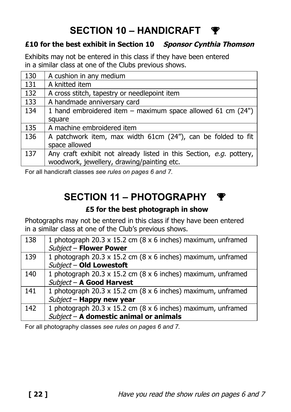# **SECTION 10 – HANDICRAFT**

### **£10 for the best exhibit in Section 10 Sponsor Cynthia Thomson**

Exhibits may not be entered in this class if they have been entered in a similar class at one of the Clubs previous shows.

| 130 | A cushion in any medium                                             |
|-----|---------------------------------------------------------------------|
| 131 | A knitted item                                                      |
| 132 | A cross stitch, tapestry or needlepoint item                        |
| 133 | A handmade anniversary card                                         |
| 134 | 1 hand embroidered item $-$ maximum space allowed 61 cm (24")       |
|     | square                                                              |
| 135 | A machine embroidered item                                          |
| 136 | A patchwork item, max width 61cm (24"), can be folded to fit        |
|     | space allowed                                                       |
| 137 | Any craft exhibit not already listed in this Section, e.g. pottery, |
|     | woodwork, jewellery, drawing/painting etc.                          |

For all handicraft classes *see rules on pages 6 and 7.*

# **SECTION 11 – PHOTOGRAPHY**

### **£5 for the best photograph in show**

Photographs may not be entered in this class if they have been entered in a similar class at one of the Club's previous shows.

| 138 | 1 photograph 20.3 x 15.2 cm (8 x 6 inches) maximum, unframed |
|-----|--------------------------------------------------------------|
|     | Subject - Flower Power                                       |
| 139 | 1 photograph 20.3 x 15.2 cm (8 x 6 inches) maximum, unframed |
|     | Subject - Old Lowestoft                                      |
| 140 | 1 photograph 20.3 x 15.2 cm (8 x 6 inches) maximum, unframed |
|     | Subject - A Good Harvest                                     |
| 141 | 1 photograph 20.3 x 15.2 cm (8 x 6 inches) maximum, unframed |
|     | Subject - Happy new year                                     |
| 142 | 1 photograph 20.3 x 15.2 cm (8 x 6 inches) maximum, unframed |
|     | Subject - A domestic animal or animals                       |

For all photography classes *see rules on pages 6 and 7.*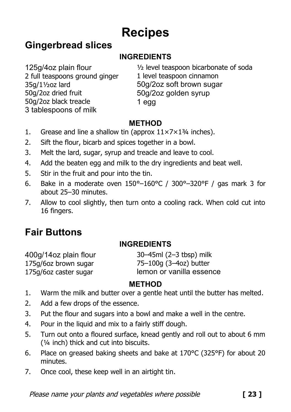# **Recipes**

## **Gingerbread slices**

## **INGREDIENTS**

125g/4oz plain flour 2 full teaspoons ground ginger 35g/1½oz lard 50g/2oz dried fruit 50g/2oz black treacle 3 tablespoons of milk

½ level teaspoon bicarbonate of soda 1 level teaspoon cinnamon 50g/2oz soft brown sugar 50g/2oz golden syrup 1 egg

### **METHOD**

- 1. Grease and line a shallow tin (approx  $11 \times 7 \times 1\frac{3}{4}$  inches).
- 2. Sift the flour, bicarb and spices together in a bowl.
- 3. Melt the lard, sugar, syrup and treacle and leave to cool.
- 4. Add the beaten egg and milk to the dry ingredients and beat well.
- 5. Stir in the fruit and pour into the tin.
- 6. Bake in a moderate oven  $150^{\circ} 160^{\circ}C / 300^{\circ} 320^{\circ}F /$  gas mark 3 for about 25–30 minutes.
- 7. Allow to cool slightly, then turn onto a cooling rack. When cold cut into 16 fingers.

# **Fair Buttons**

### **INGREDIENTS**

400g/14oz plain flour 175g/6oz brown sugar 175g/6oz caster sugar

30–45ml (2–3 tbsp) milk 75–100g (3–4oz) butter lemon or vanilla essence

### **METHOD**

- 1. Warm the milk and butter over a gentle heat until the butter has melted.
- 2. Add a few drops of the essence.
- 3. Put the flour and sugars into a bowl and make a well in the centre.
- 4. Pour in the liquid and mix to a fairly stiff dough.
- 5. Turn out onto a floured surface, knead gently and roll out to about 6 mm (¼ inch) thick and cut into biscuits.
- 6. Place on greased baking sheets and bake at 170°C (325°F) for about 20 minutes.
- 7. Once cool, these keep well in an airtight tin.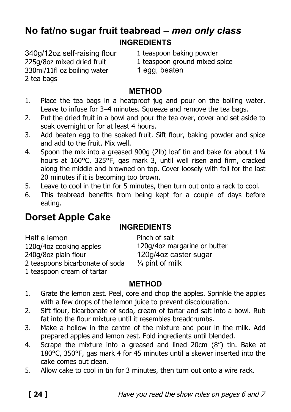## **No fat/no sugar fruit teabread –** *men only class* **INGREDIENTS**

340g/12oz self-raising flour 225g/8oz mixed dried fruit 330ml/11fl oz boiling water 2 tea bags

- 1 teaspoon baking powder
- 1 teaspoon ground mixed spice
- 1 egg, beaten

### **METHOD**

- 1. Place the tea bags in a heatproof jug and pour on the boiling water. Leave to infuse for 3–4 minutes. Squeeze and remove the tea bags.
- 2. Put the dried fruit in a bowl and pour the tea over, cover and set aside to soak overnight or for at least 4 hours.
- 3. Add beaten egg to the soaked fruit. Sift flour, baking powder and spice and add to the fruit. Mix well.
- 4. Spoon the mix into a greased 900g (2lb) loaf tin and bake for about 1¼ hours at 160°C, 325°F, gas mark 3, until well risen and firm, cracked along the middle and browned on top. Cover loosely with foil for the last 20 minutes if it is becoming too brown.
- 5. Leave to cool in the tin for 5 minutes, then turn out onto a rack to cool.
- 6. This teabread benefits from being kept for a couple of days before eating.

# **Dorset Apple Cake**

### **INGREDIENTS**

Pinch of salt

Half a lemon 120g/4oz cooking apples 240g/8oz plain flour 2 teaspoons bicarbonate of soda 1 teaspoon cream of tartar

120g/4oz margarine or butter 120g/4oz caster sugar  $\frac{1}{4}$  pint of milk

## **METHOD**

- 1. Grate the lemon zest. Peel, core and chop the apples. Sprinkle the apples with a few drops of the lemon juice to prevent discolouration.
- 2. Sift flour, bicarbonate of soda, cream of tartar and salt into a bowl. Rub fat into the flour mixture until it resembles breadcrumbs.
- 3. Make a hollow in the centre of the mixture and pour in the milk. Add prepared apples and lemon zest. Fold ingredients until blended.
- 4. Scrape the mixture into a greased and lined 20cm (8") tin. Bake at 180°C, 350°F, gas mark 4 for 45 minutes until a skewer inserted into the cake comes out clean.
- 5. Allow cake to cool in tin for 3 minutes, then turn out onto a wire rack.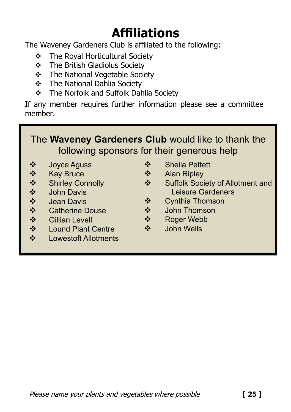# **Affiliations**

The Waveney Gardeners Club is affiliated to the following:

- The Royal Horticultural Society
- $\div$  The British Gladiolus Society
- The National Vegetable Society
- The National Dahlia Society
- **\*** The Norfolk and Suffolk Dahlia Society

If any member requires further information please see a committee member.

# The **Waveney Gardeners Club** would like to thank the following sponsors for their generous help

- ↓ Joyce Aguss<br>↓ Kay Bruce<br>↓ Shirley Conn<br>◆ John Davis<br>◆ Catherine Do<br>◆ Gillian Levell
- Kay Bruce
- Shirley Connolly
- John Davis
- Jean Davis
- Catherine Douse
- ❖ Gillian Levell<br>❖ Lound Plant (
- ❖ Lound Plant Centre<br>❖ Lowestoft Allotments
- Lowestoft Allotments
- ❖ Sheila Pettett
- ❖ Alan Ripley
- Suffolk Society of Allotment and Leisure Gardeners
- Cynthia Thomson
- John Thomson
- Roger Webb
- John Wells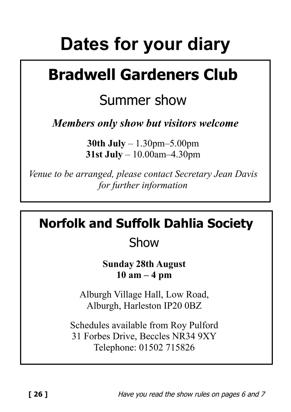# **Dates for your diary**

# **Bradwell Gardeners Club**

# Summer show

*Members only show but visitors welcome*

**30th July** – 1.30pm–5.00pm **31st July** – 10.00am–4.30pm

*Venue to be arranged, please contact Secretary Jean Davis for further information*

**Norfolk and Suffolk Dahlia Society**

Show

**Sunday 28th August 10 am – 4 pm**

Alburgh Village Hall, Low Road, Alburgh, Harleston IP20 0BZ

Schedules available from Roy Pulford 31 Forbes Drive, Beccles NR34 9XY Telephone: 01502 715826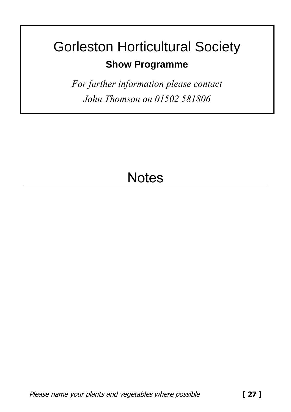# Gorleston Horticultural Society **Show Programme**

*For further information please contact John Thomson on 01502 581806*

# **Notes**